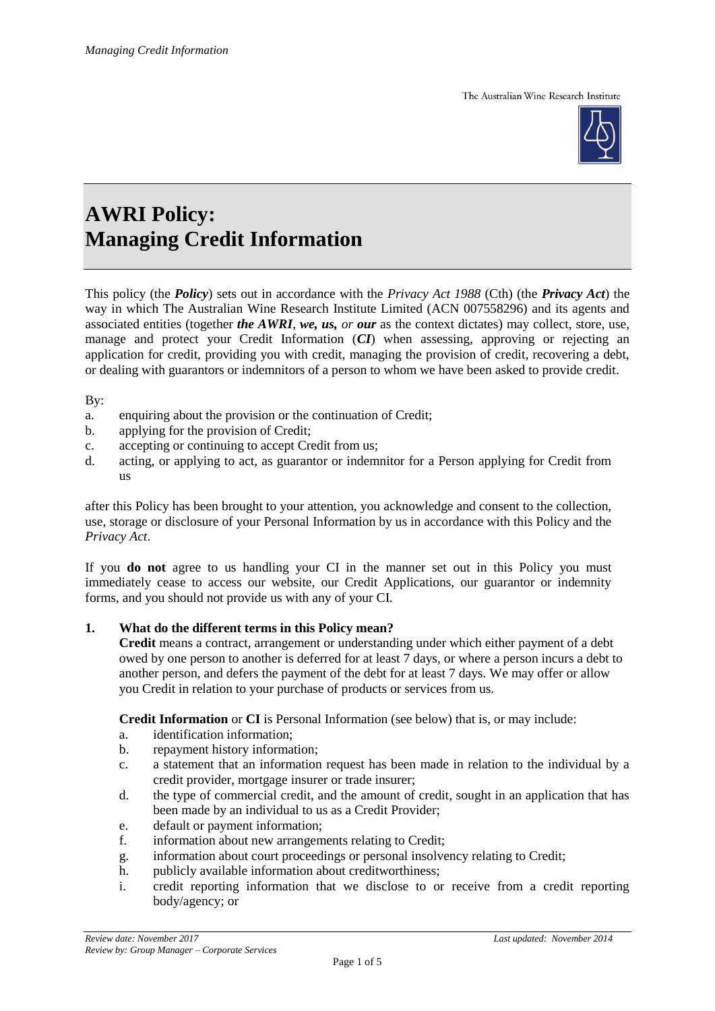The Australian Wine Research Institute



# **AWRI Policy: Managing Credit Information**

This policy (the *Policy*) sets out in accordance with the *Privacy Act 1988* (Cth) (the *Privacy Act*) the way in which The Australian Wine Research Institute Limited (ACN 007558296) and its agents and associated entities (together *the AWRI*, *we, us, or our* as the context dictates) may collect, store, use, manage and protect your Credit Information (*CI*) when assessing, approving or rejecting an application for credit, providing you with credit, managing the provision of credit, recovering a debt, or dealing with guarantors or indemnitors of a person to whom we have been asked to provide credit.

By:

- a. enquiring about the provision or the continuation of Credit;
- b. applying for the provision of Credit;
- c. accepting or continuing to accept Credit from us;
- d. acting, or applying to act, as guarantor or indemnitor for a Person applying for Credit from us

after this Policy has been brought to your attention, you acknowledge and consent to the collection, use, storage or disclosure of your Personal Information by us in accordance with this Policy and the *Privacy Act*.

If you **do not** agree to us handling your CI in the manner set out in this Policy you must immediately cease to access our website, our Credit Applications, our guarantor or indemnity forms, and you should not provide us with any of your CI.

#### **1. What do the different terms in this Policy mean?**

**Credit** means a contract, arrangement or understanding under which either payment of a debt owed by one person to another is deferred for at least 7 days, or where a person incurs a debt to another person, and defers the payment of the debt for at least 7 days. We may offer or allow you Credit in relation to your purchase of products or services from us.

**Credit Information** or **CI** is Personal Information (see below) that is, or may include:

- a. identification information;
- b. repayment history information;
- c. a statement that an information request has been made in relation to the individual by a credit provider, mortgage insurer or trade insurer;
- d. the type of commercial credit, and the amount of credit, sought in an application that has been made by an individual to us as a Credit Provider;
- e. default or payment information;
- f. information about new arrangements relating to Credit;
- g. information about court proceedings or personal insolvency relating to Credit;
- h. publicly available information about creditworthiness;
- i. credit reporting information that we disclose to or receive from a credit reporting body/agency; or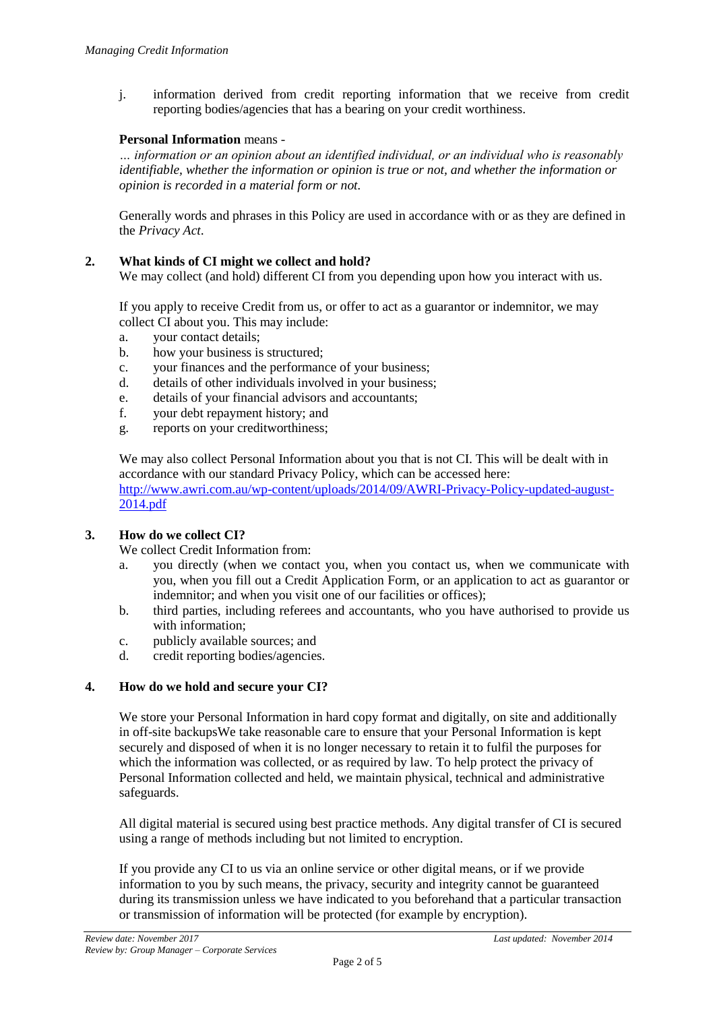j. information derived from credit reporting information that we receive from credit reporting bodies/agencies that has a bearing on your credit worthiness.

# **Personal Information** means *-*

*… information or an opinion about an identified individual, or an individual who is reasonably identifiable, whether the information or opinion is true or not, and whether the information or opinion is recorded in a material form or not.*

Generally words and phrases in this Policy are used in accordance with or as they are defined in the *Privacy Act*.

#### **2. What kinds of CI might we collect and hold?**

We may collect (and hold) different CI from you depending upon how you interact with us.

If you apply to receive Credit from us, or offer to act as a guarantor or indemnitor, we may collect CI about you. This may include:

- a. your contact details;
- b. how your business is structured;
- c. your finances and the performance of your business;
- d. details of other individuals involved in your business;
- e. details of your financial advisors and accountants;
- f. your debt repayment history; and
- g. reports on your creditworthiness;

We may also collect Personal Information about you that is not CI. This will be dealt with in accordance with our standard Privacy Policy, which can be accessed here: [http://www.awri.com.au/wp-content/uploads/2014/09/AWRI-Privacy-Policy-updated-august-](http://www.awri.com.au/wp-content/uploads/2014/09/AWRI-Privacy-Policy-updated-august-2014.pdf)[2014.pdf](http://www.awri.com.au/wp-content/uploads/2014/09/AWRI-Privacy-Policy-updated-august-2014.pdf) 

# **3. How do we collect CI?**

We collect Credit Information from:

- a. you directly (when we contact you, when you contact us, when we communicate with you, when you fill out a Credit Application Form, or an application to act as guarantor or indemnitor; and when you visit one of our facilities or offices);
- b. third parties, including referees and accountants, who you have authorised to provide us with information;
- c. publicly available sources; and
- d. credit reporting bodies/agencies.

#### **4. How do we hold and secure your CI?**

We store your Personal Information in hard copy format and digitally, on site and additionally in off-site backupsWe take reasonable care to ensure that your Personal Information is kept securely and disposed of when it is no longer necessary to retain it to fulfil the purposes for which the information was collected, or as required by law. To help protect the privacy of Personal Information collected and held, we maintain physical, technical and administrative safeguards.

All digital material is secured using best practice methods. Any digital transfer of CI is secured using a range of methods including but not limited to encryption.

If you provide any CI to us via an online service or other digital means, or if we provide information to you by such means, the privacy, security and integrity cannot be guaranteed during its transmission unless we have indicated to you beforehand that a particular transaction or transmission of information will be protected (for example by encryption).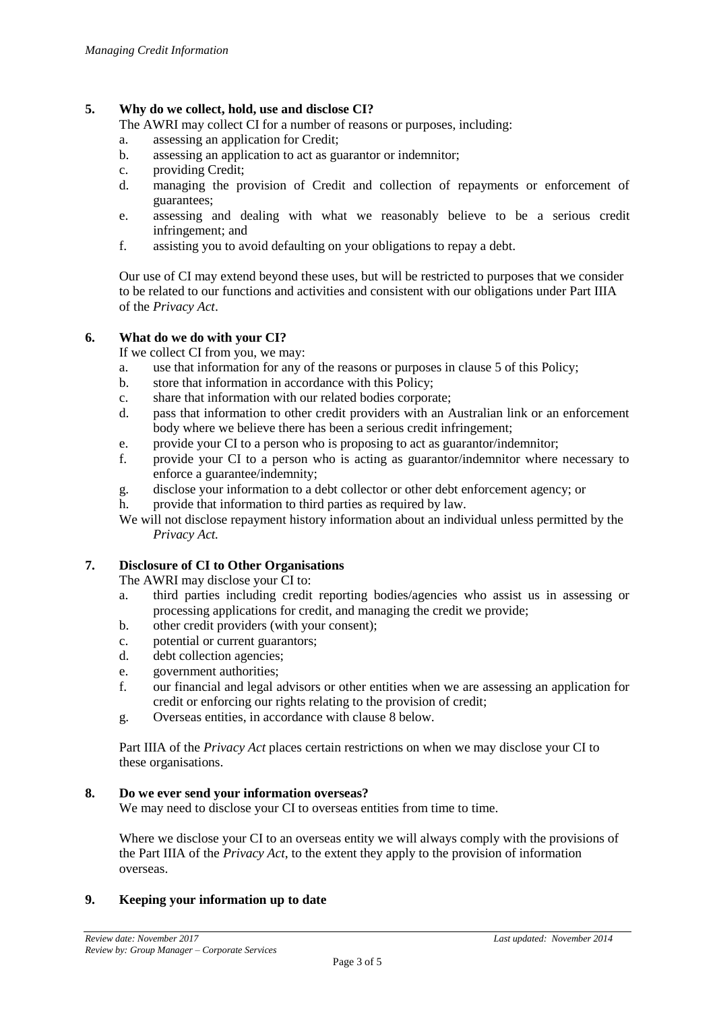# **5. Why do we collect, hold, use and disclose CI?**

The AWRI may collect CI for a number of reasons or purposes, including:

- a. assessing an application for Credit;
- b. assessing an application to act as guarantor or indemnitor;
- c. providing Credit;
- d. managing the provision of Credit and collection of repayments or enforcement of guarantees;
- e. assessing and dealing with what we reasonably believe to be a serious credit infringement; and
- f. assisting you to avoid defaulting on your obligations to repay a debt.

Our use of CI may extend beyond these uses, but will be restricted to purposes that we consider to be related to our functions and activities and consistent with our obligations under Part IIIA of the *Privacy Act*.

#### **6. What do we do with your CI?**

If we collect CI from you, we may:

- a. use that information for any of the reasons or purposes in clause 5 of this Policy;
- b. store that information in accordance with this Policy;
- c. share that information with our related bodies corporate;
- d. pass that information to other credit providers with an Australian link or an enforcement body where we believe there has been a serious credit infringement;
- e. provide your CI to a person who is proposing to act as guarantor/indemnitor;
- f. provide your CI to a person who is acting as guarantor/indemnitor where necessary to enforce a guarantee/indemnity;
- g. disclose your information to a debt collector or other debt enforcement agency; or
- h. provide that information to third parties as required by law.
- We will not disclose repayment history information about an individual unless permitted by the *Privacy Act.*

#### **7. Disclosure of CI to Other Organisations**

The AWRI may disclose your CI to:

- a. third parties including credit reporting bodies/agencies who assist us in assessing or processing applications for credit, and managing the credit we provide;
- b. other credit providers (with your consent);
- c. potential or current guarantors;
- d. debt collection agencies;
- e. government authorities;
- f. our financial and legal advisors or other entities when we are assessing an application for credit or enforcing our rights relating to the provision of credit;
- g. Overseas entities, in accordance with clause 8 below.

Part IIIA of the *Privacy Act* places certain restrictions on when we may disclose your CI to these organisations.

#### **8. Do we ever send your information overseas?**

We may need to disclose your CI to overseas entities from time to time.

Where we disclose your CI to an overseas entity we will always comply with the provisions of the Part IIIA of the *Privacy Act*, to the extent they apply to the provision of information overseas.

# **9. Keeping your information up to date**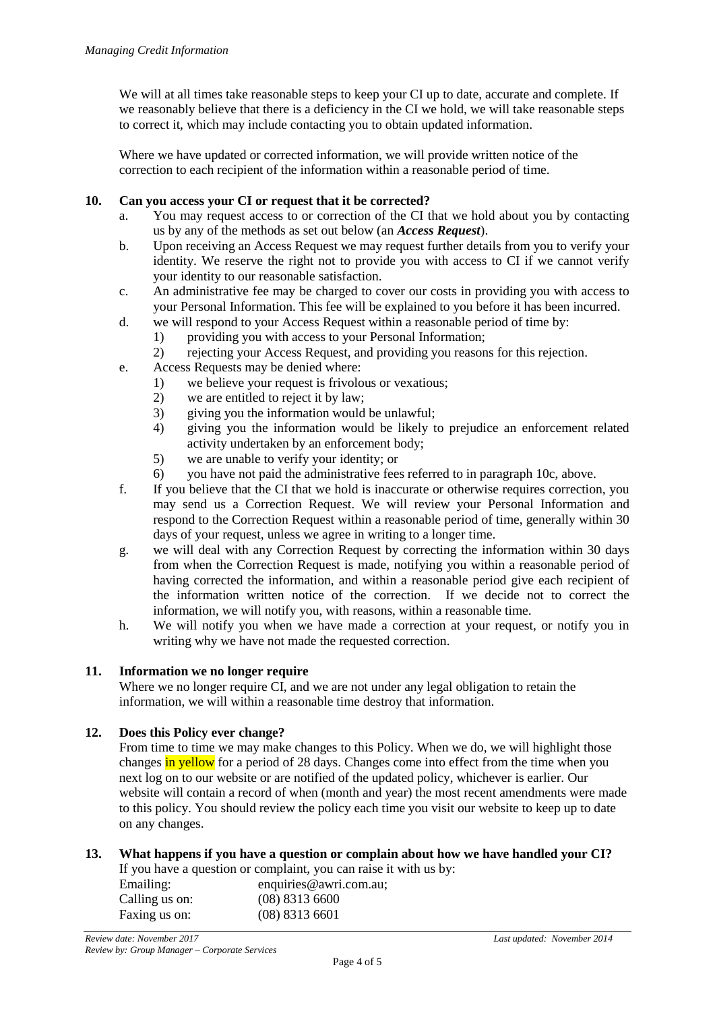We will at all times take reasonable steps to keep your CI up to date, accurate and complete. If we reasonably believe that there is a deficiency in the CI we hold, we will take reasonable steps to correct it, which may include contacting you to obtain updated information.

Where we have updated or corrected information, we will provide written notice of the correction to each recipient of the information within a reasonable period of time.

# **10. Can you access your CI or request that it be corrected?**

- a. You may request access to or correction of the CI that we hold about you by contacting us by any of the methods as set out below (an *Access Request*).
- b. Upon receiving an Access Request we may request further details from you to verify your identity. We reserve the right not to provide you with access to CI if we cannot verify your identity to our reasonable satisfaction.
- c. An administrative fee may be charged to cover our costs in providing you with access to your Personal Information. This fee will be explained to you before it has been incurred.
- d. we will respond to your Access Request within a reasonable period of time by:
	- 1) providing you with access to your Personal Information;
	- 2) rejecting your Access Request, and providing you reasons for this rejection.
- e. Access Requests may be denied where:
	- 1) we believe your request is frivolous or vexatious;
	- 2) we are entitled to reject it by law;
	- 3) giving you the information would be unlawful;
	- 4) giving you the information would be likely to prejudice an enforcement related activity undertaken by an enforcement body;
	- 5) we are unable to verify your identity; or
	- 6) you have not paid the administrative fees referred to in paragraph 10c, above.
- f. If you believe that the CI that we hold is inaccurate or otherwise requires correction, you may send us a Correction Request. We will review your Personal Information and respond to the Correction Request within a reasonable period of time, generally within 30 days of your request, unless we agree in writing to a longer time.
- g. we will deal with any Correction Request by correcting the information within 30 days from when the Correction Request is made, notifying you within a reasonable period of having corrected the information, and within a reasonable period give each recipient of the information written notice of the correction. If we decide not to correct the information, we will notify you, with reasons, within a reasonable time.
- h. We will notify you when we have made a correction at your request, or notify you in writing why we have not made the requested correction.

#### **11. Information we no longer require**

Where we no longer require CI, and we are not under any legal obligation to retain the information, we will within a reasonable time destroy that information.

#### **12. Does this Policy ever change?**

From time to time we may make changes to this Policy. When we do, we will highlight those changes in yellow for a period of 28 days. Changes come into effect from the time when you next log on to our website or are notified of the updated policy, whichever is earlier. Our website will contain a record of when (month and year) the most recent amendments were made to this policy. You should review the policy each time you visit our website to keep up to date on any changes.

# **13. What happens if you have a question or complain about how we have handled your CI?**

If you have a question or complaint, you can raise it with us by:

| Emailing:      | enquiries@awri.com.au; |
|----------------|------------------------|
| Calling us on: | $(08)$ 8313 6600       |
| Faxing us on:  | $(08)$ 8313 6601       |